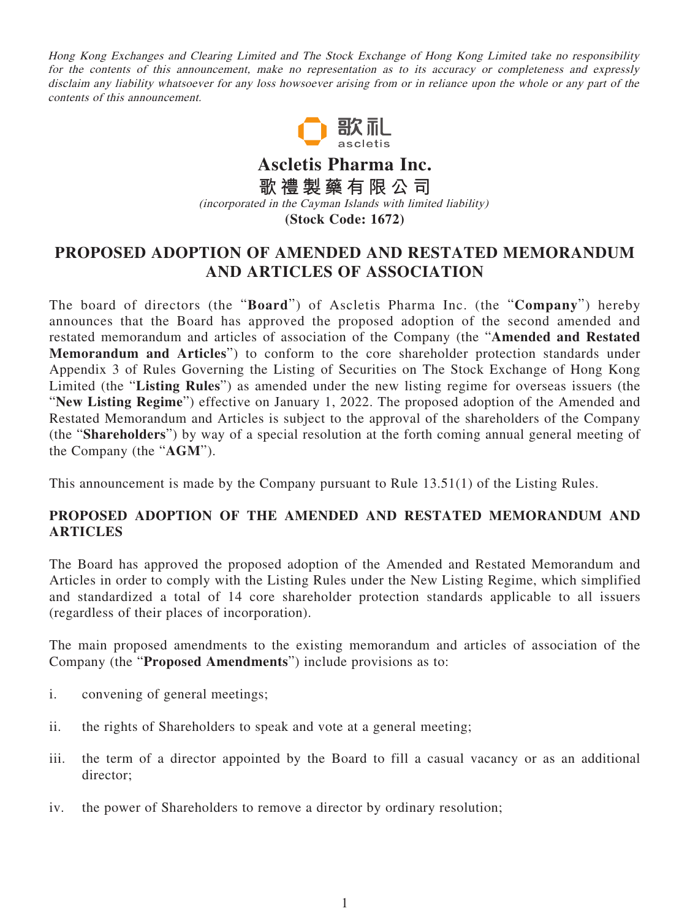Hong Kong Exchanges and Clearing Limited and The Stock Exchange of Hong Kong Limited take no responsibility for the contents of this announcement, make no representation as to its accuracy or completeness and expressly disclaim any liability whatsoever for any loss howsoever arising from or in reliance upon the whole or any part of the contents of this announcement.



**Ascletis Pharma Inc. 歌禮製藥有限公司** (incorporated in the Cayman Islands with limited liability) **(Stock Code: 1672)**

## **PROPOSED ADOPTION OF AMENDED AND RESTATED MEMORANDUM AND ARTICLES OF ASSOCIATION**

The board of directors (the "**Board**") of Ascletis Pharma Inc. (the "**Company**") hereby announces that the Board has approved the proposed adoption of the second amended and restated memorandum and articles of association of the Company (the "**Amended and Restated Memorandum and Articles**") to conform to the core shareholder protection standards under Appendix 3 of Rules Governing the Listing of Securities on The Stock Exchange of Hong Kong Limited (the "**Listing Rules**") as amended under the new listing regime for overseas issuers (the "**New Listing Regime**") effective on January 1, 2022. The proposed adoption of the Amended and Restated Memorandum and Articles is subject to the approval of the shareholders of the Company (the "**Shareholders**") by way of a special resolution at the forth coming annual general meeting of the Company (the "**AGM**").

This announcement is made by the Company pursuant to Rule 13.51(1) of the Listing Rules.

## **PROPOSED ADOPTION OF THE AMENDED AND RESTATED MEMORANDUM AND ARTICLES**

The Board has approved the proposed adoption of the Amended and Restated Memorandum and Articles in order to comply with the Listing Rules under the New Listing Regime, which simplified and standardized a total of 14 core shareholder protection standards applicable to all issuers (regardless of their places of incorporation).

The main proposed amendments to the existing memorandum and articles of association of the Company (the "**Proposed Amendments**") include provisions as to:

- i. convening of general meetings;
- ii. the rights of Shareholders to speak and vote at a general meeting;
- iii. the term of a director appointed by the Board to fill a casual vacancy or as an additional director;
- iv. the power of Shareholders to remove a director by ordinary resolution;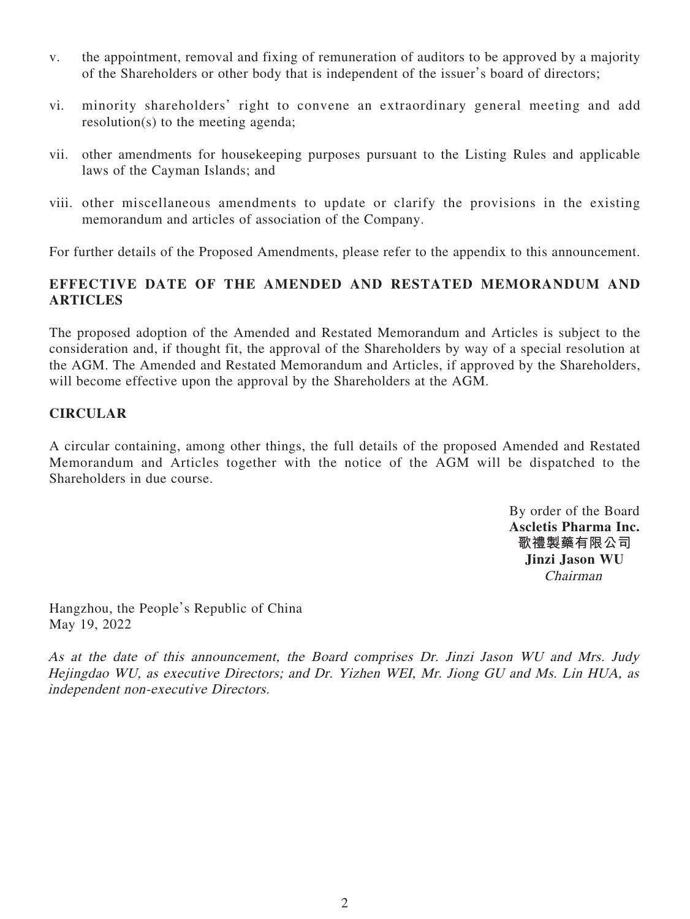- v. the appointment, removal and fixing of remuneration of auditors to be approved by a majority of the Shareholders or other body that is independent of the issuer's board of directors;
- vi. minority shareholders' right to convene an extraordinary general meeting and add resolution(s) to the meeting agenda;
- vii. other amendments for housekeeping purposes pursuant to the Listing Rules and applicable laws of the Cayman Islands; and
- viii. other miscellaneous amendments to update or clarify the provisions in the existing memorandum and articles of association of the Company.

For further details of the Proposed Amendments, please refer to the appendix to this announcement.

## **EFFECTIVE DATE OF THE AMENDED AND RESTATED MEMORANDUM AND ARTICLES**

The proposed adoption of the Amended and Restated Memorandum and Articles is subject to the consideration and, if thought fit, the approval of the Shareholders by way of a special resolution at the AGM. The Amended and Restated Memorandum and Articles, if approved by the Shareholders, will become effective upon the approval by the Shareholders at the AGM.

## **CIRCULAR**

A circular containing, among other things, the full details of the proposed Amended and Restated Memorandum and Articles together with the notice of the AGM will be dispatched to the Shareholders in due course.

> By order of the Board **Ascletis Pharma Inc. 歌禮製藥有限公司 Jinzi Jason WU** Chairman

Hangzhou, the People's Republic of China May 19, 2022

As at the date of this announcement, the Board comprises Dr. Jinzi Jason WU and Mrs. Judy Hejingdao WU, as executive Directors; and Dr. Yizhen WEI, Mr. Jiong GU and Ms. Lin HUA, as independent non-executive Directors.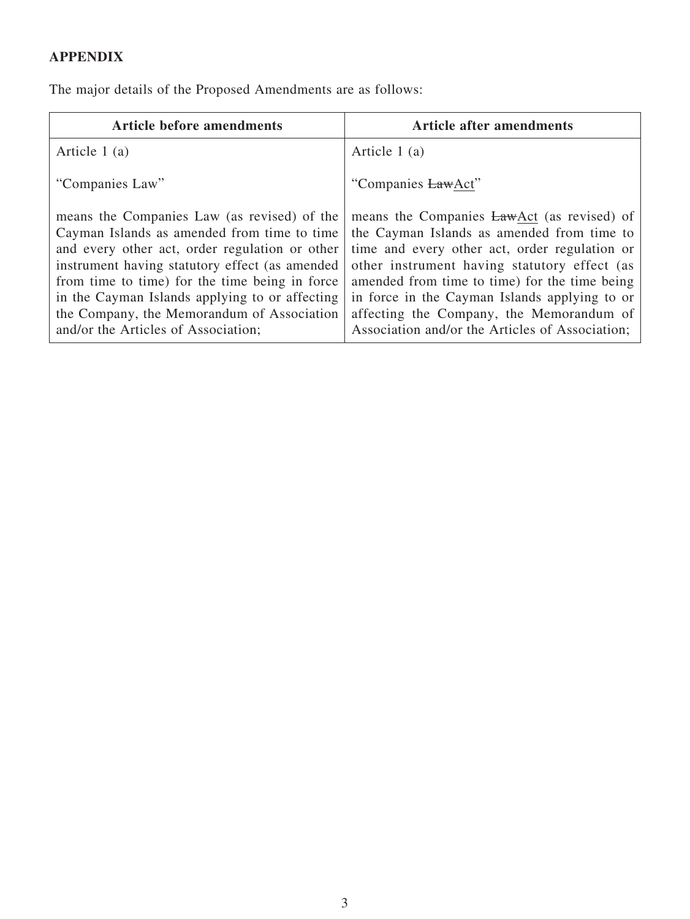# **APPENDIX**

The major details of the Proposed Amendments are as follows:

| <b>Article before amendments</b>                                                                                                                                                                                                                                                                                                                                                        | <b>Article after amendments</b>                                                                                                                                                                                                                                                                                                                                                            |
|-----------------------------------------------------------------------------------------------------------------------------------------------------------------------------------------------------------------------------------------------------------------------------------------------------------------------------------------------------------------------------------------|--------------------------------------------------------------------------------------------------------------------------------------------------------------------------------------------------------------------------------------------------------------------------------------------------------------------------------------------------------------------------------------------|
| Article $1(a)$                                                                                                                                                                                                                                                                                                                                                                          | Article 1 (a)                                                                                                                                                                                                                                                                                                                                                                              |
| "Companies Law"                                                                                                                                                                                                                                                                                                                                                                         | "Companies LawAct"                                                                                                                                                                                                                                                                                                                                                                         |
| means the Companies Law (as revised) of the<br>Cayman Islands as amended from time to time<br>and every other act, order regulation or other<br>instrument having statutory effect (as amended<br>from time to time) for the time being in force<br>in the Cayman Islands applying to or affecting<br>the Company, the Memorandum of Association<br>and/or the Articles of Association; | means the Companies LawAct (as revised) of<br>the Cayman Islands as amended from time to<br>time and every other act, order regulation or<br>other instrument having statutory effect (as<br>amended from time to time) for the time being<br>in force in the Cayman Islands applying to or<br>affecting the Company, the Memorandum of<br>Association and/or the Articles of Association; |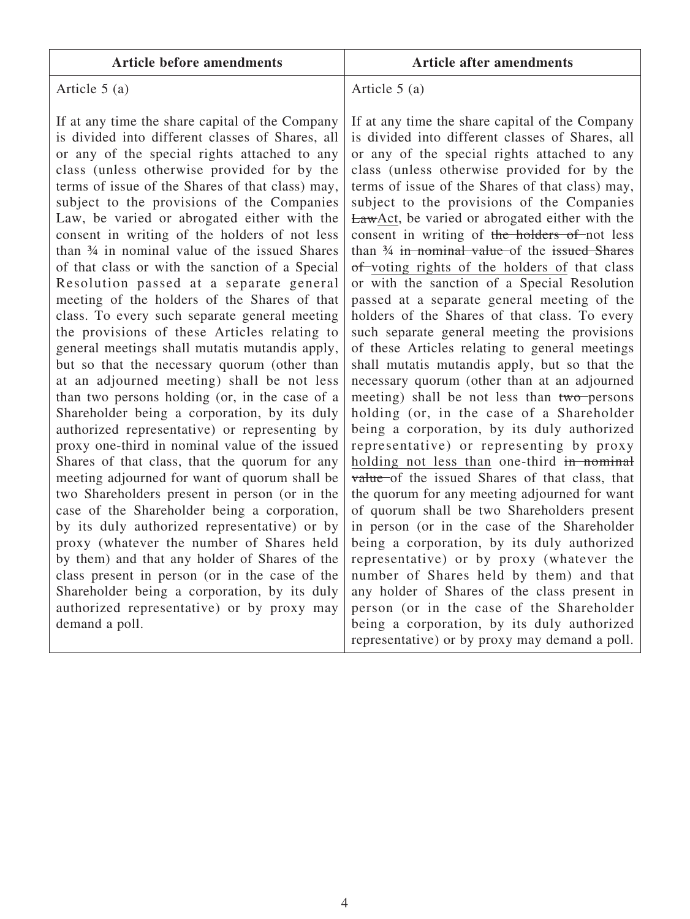|  |  | <b>Article before amendments</b> |
|--|--|----------------------------------|
|--|--|----------------------------------|

#### **Article before amendments Article after amendments**

## Article 5 (a)

If at any time the share capital of the Company is divided into different classes of Shares, all or any of the special rights attached to any class (unless otherwise provided for by the terms of issue of the Shares of that class) may, subject to the provisions of the Companies Law, be varied or abrogated either with the consent in writing of the holders of not less than ¾ in nominal value of the issued Shares of that class or with the sanction of a Special Resolution passed at a separate general meeting of the holders of the Shares of that class. To every such separate general meeting the provisions of these Articles relating to general meetings shall mutatis mutandis apply, but so that the necessary quorum (other than at an adjourned meeting) shall be not less than two persons holding (or, in the case of a Shareholder being a corporation, by its duly authorized representative) or representing by proxy one-third in nominal value of the issued Shares of that class, that the quorum for any meeting adjourned for want of quorum shall be two Shareholders present in person (or in the case of the Shareholder being a corporation, by its duly authorized representative) or by proxy (whatever the number of Shares held by them) and that any holder of Shares of the class present in person (or in the case of the Shareholder being a corporation, by its duly authorized representative) or by proxy may demand a poll.

Article 5 (a)

If at any time the share capital of the Company is divided into different classes of Shares, all or any of the special rights attached to any class (unless otherwise provided for by the terms of issue of the Shares of that class) may, subject to the provisions of the Companies LawAct, be varied or abrogated either with the consent in writing of the holders of not less than ¾ in nominal value of the issued Shares of voting rights of the holders of that class or with the sanction of a Special Resolution passed at a separate general meeting of the holders of the Shares of that class. To every such separate general meeting the provisions of these Articles relating to general meetings shall mutatis mutandis apply, but so that the necessary quorum (other than at an adjourned meeting) shall be not less than two persons holding (or, in the case of a Shareholder being a corporation, by its duly authorized representative) or representing by proxy holding not less than one-third in nominal value of the issued Shares of that class, that the quorum for any meeting adjourned for want of quorum shall be two Shareholders present in person (or in the case of the Shareholder being a corporation, by its duly authorized representative) or by proxy (whatever the number of Shares held by them) and that any holder of Shares of the class present in person (or in the case of the Shareholder being a corporation, by its duly authorized representative) or by proxy may demand a poll.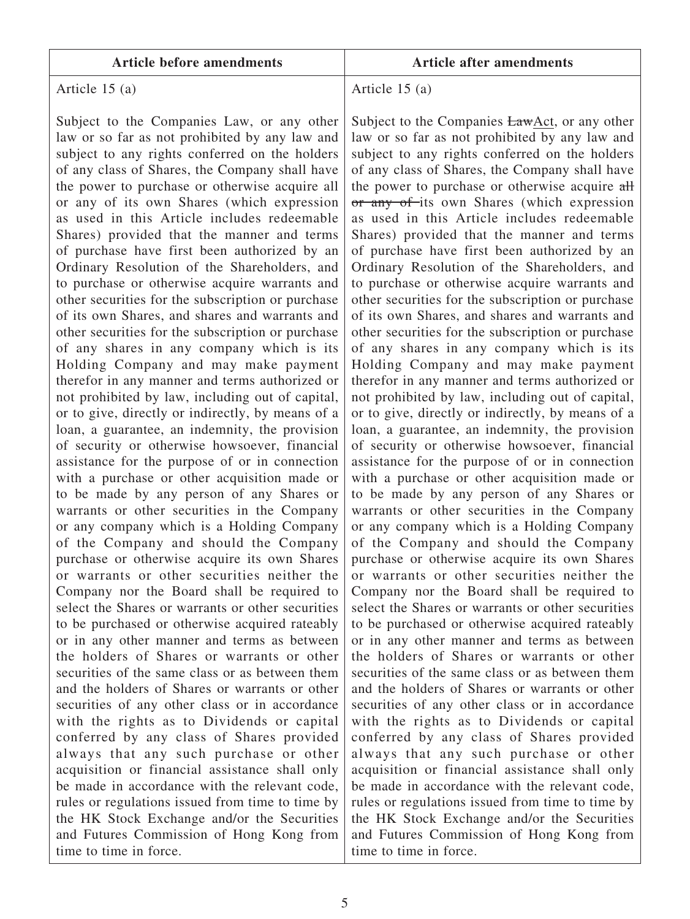Article 15 (a)

Subject to the Companies Law, or any other law or so far as not prohibited by any law and subject to any rights conferred on the holders of any class of Shares, the Company shall have the power to purchase or otherwise acquire all or any of its own Shares (which expression as used in this Article includes redeemable Shares) provided that the manner and terms of purchase have first been authorized by an Ordinary Resolution of the Shareholders, and to purchase or otherwise acquire warrants and other securities for the subscription or purchase of its own Shares, and shares and warrants and other securities for the subscription or purchase of any shares in any company which is its Holding Company and may make payment therefor in any manner and terms authorized or not prohibited by law, including out of capital, or to give, directly or indirectly, by means of a loan, a guarantee, an indemnity, the provision of security or otherwise howsoever, financial assistance for the purpose of or in connection with a purchase or other acquisition made or to be made by any person of any Shares or warrants or other securities in the Company or any company which is a Holding Company of the Company and should the Company purchase or otherwise acquire its own Shares or warrants or other securities neither the Company nor the Board shall be required to select the Shares or warrants or other securities to be purchased or otherwise acquired rateably or in any other manner and terms as between the holders of Shares or warrants or other securities of the same class or as between them and the holders of Shares or warrants or other securities of any other class or in accordance with the rights as to Dividends or capital conferred by any class of Shares provided always that any such purchase or other acquisition or financial assistance shall only be made in accordance with the relevant code, rules or regulations issued from time to time by the HK Stock Exchange and/or the Securities and Futures Commission of Hong Kong from time to time in force.

Article 15 (a)

Subject to the Companies LawAct, or any other law or so far as not prohibited by any law and subject to any rights conferred on the holders of any class of Shares, the Company shall have the power to purchase or otherwise acquire all or any of its own Shares (which expression as used in this Article includes redeemable Shares) provided that the manner and terms of purchase have first been authorized by an Ordinary Resolution of the Shareholders, and to purchase or otherwise acquire warrants and other securities for the subscription or purchase of its own Shares, and shares and warrants and other securities for the subscription or purchase of any shares in any company which is its Holding Company and may make payment therefor in any manner and terms authorized or not prohibited by law, including out of capital, or to give, directly or indirectly, by means of a loan, a guarantee, an indemnity, the provision of security or otherwise howsoever, financial assistance for the purpose of or in connection with a purchase or other acquisition made or to be made by any person of any Shares or warrants or other securities in the Company or any company which is a Holding Company of the Company and should the Company purchase or otherwise acquire its own Shares or warrants or other securities neither the Company nor the Board shall be required to select the Shares or warrants or other securities to be purchased or otherwise acquired rateably or in any other manner and terms as between the holders of Shares or warrants or other securities of the same class or as between them and the holders of Shares or warrants or other securities of any other class or in accordance with the rights as to Dividends or capital conferred by any class of Shares provided always that any such purchase or other acquisition or financial assistance shall only be made in accordance with the relevant code, rules or regulations issued from time to time by the HK Stock Exchange and/or the Securities and Futures Commission of Hong Kong from time to time in force.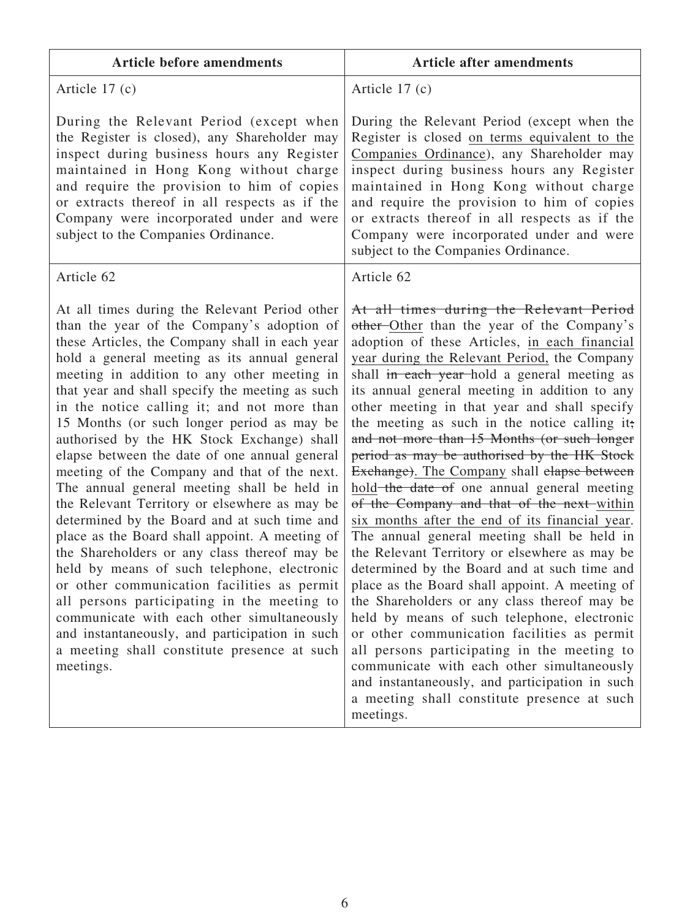| <b>Article before amendments</b>                                                                                                                                                                                                                                                                                                                                                                                                                                                                                                                                                                                                                                                                                                                                                                                                                                                                                                                                                                                                                                                                       | <b>Article after amendments</b>                                                                                                                                                                                                                                                                                                                                                                                                                                                                                                                                                                                                                                                                                                                                                                                                                                                                                                                                                                                                                                                                                                                                                                                                                  |
|--------------------------------------------------------------------------------------------------------------------------------------------------------------------------------------------------------------------------------------------------------------------------------------------------------------------------------------------------------------------------------------------------------------------------------------------------------------------------------------------------------------------------------------------------------------------------------------------------------------------------------------------------------------------------------------------------------------------------------------------------------------------------------------------------------------------------------------------------------------------------------------------------------------------------------------------------------------------------------------------------------------------------------------------------------------------------------------------------------|--------------------------------------------------------------------------------------------------------------------------------------------------------------------------------------------------------------------------------------------------------------------------------------------------------------------------------------------------------------------------------------------------------------------------------------------------------------------------------------------------------------------------------------------------------------------------------------------------------------------------------------------------------------------------------------------------------------------------------------------------------------------------------------------------------------------------------------------------------------------------------------------------------------------------------------------------------------------------------------------------------------------------------------------------------------------------------------------------------------------------------------------------------------------------------------------------------------------------------------------------|
| Article $17(c)$                                                                                                                                                                                                                                                                                                                                                                                                                                                                                                                                                                                                                                                                                                                                                                                                                                                                                                                                                                                                                                                                                        | Article $17(c)$                                                                                                                                                                                                                                                                                                                                                                                                                                                                                                                                                                                                                                                                                                                                                                                                                                                                                                                                                                                                                                                                                                                                                                                                                                  |
| During the Relevant Period (except when<br>the Register is closed), any Shareholder may<br>inspect during business hours any Register<br>maintained in Hong Kong without charge<br>and require the provision to him of copies<br>or extracts thereof in all respects as if the<br>Company were incorporated under and were<br>subject to the Companies Ordinance.                                                                                                                                                                                                                                                                                                                                                                                                                                                                                                                                                                                                                                                                                                                                      | During the Relevant Period (except when the<br>Register is closed on terms equivalent to the<br>Companies Ordinance), any Shareholder may<br>inspect during business hours any Register<br>maintained in Hong Kong without charge<br>and require the provision to him of copies<br>or extracts thereof in all respects as if the<br>Company were incorporated under and were<br>subject to the Companies Ordinance.                                                                                                                                                                                                                                                                                                                                                                                                                                                                                                                                                                                                                                                                                                                                                                                                                              |
| Article 62                                                                                                                                                                                                                                                                                                                                                                                                                                                                                                                                                                                                                                                                                                                                                                                                                                                                                                                                                                                                                                                                                             | Article 62                                                                                                                                                                                                                                                                                                                                                                                                                                                                                                                                                                                                                                                                                                                                                                                                                                                                                                                                                                                                                                                                                                                                                                                                                                       |
| At all times during the Relevant Period other<br>than the year of the Company's adoption of<br>these Articles, the Company shall in each year<br>hold a general meeting as its annual general<br>meeting in addition to any other meeting in<br>that year and shall specify the meeting as such<br>in the notice calling it; and not more than<br>15 Months (or such longer period as may be<br>authorised by the HK Stock Exchange) shall<br>elapse between the date of one annual general<br>meeting of the Company and that of the next.<br>The annual general meeting shall be held in<br>the Relevant Territory or elsewhere as may be<br>determined by the Board and at such time and<br>place as the Board shall appoint. A meeting of<br>the Shareholders or any class thereof may be<br>held by means of such telephone, electronic<br>or other communication facilities as permit<br>all persons participating in the meeting to<br>communicate with each other simultaneously<br>and instantaneously, and participation in such<br>a meeting shall constitute presence at such<br>meetings. | At all times during the Relevant Period<br>other Other than the year of the Company's<br>adoption of these Articles, in each financial<br>year during the Relevant Period, the Company<br>shall in each year-hold a general meeting as<br>its annual general meeting in addition to any<br>other meeting in that year and shall specify<br>the meeting as such in the notice calling it;<br>and not more than 15 Months (or such longer<br>period as may be authorised by the HK Stock<br>Exchange). The Company shall elapse between<br>hold-the date of one annual general meeting<br>of the Company and that of the next-within<br>six months after the end of its financial year.<br>The annual general meeting shall be held in<br>the Relevant Territory or elsewhere as may be<br>determined by the Board and at such time and<br>place as the Board shall appoint. A meeting of<br>the Shareholders or any class thereof may be<br>held by means of such telephone, electronic<br>or other communication facilities as permit<br>all persons participating in the meeting to<br>communicate with each other simultaneously<br>and instantaneously, and participation in such<br>a meeting shall constitute presence at such<br>meetings. |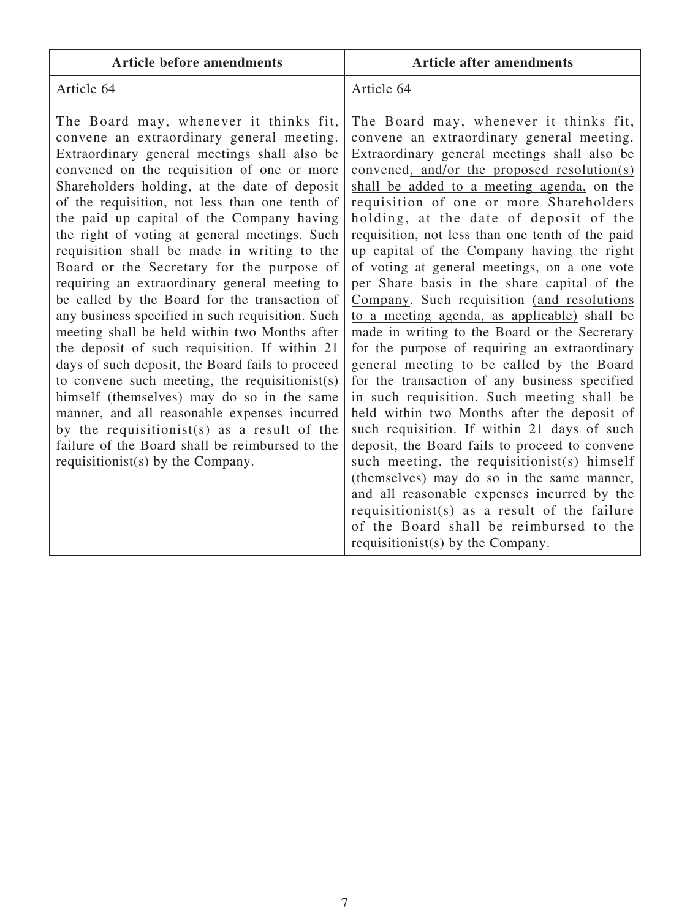| <b>Article before amendments</b>                                                                                                                                                                                                                                                                                                                                                                                                                                                                                                                                                                                                                                                                                                                                                                                                                                                                                                                                                                                                                                                  | <b>Article after amendments</b>                                                                                                                                                                                                                                                                                                                                                                                                                                                                                                                                                                                                                                                                                                                                                                                                                                                                                                                                                                                                                                                                                                                                                                                                                                                                 |
|-----------------------------------------------------------------------------------------------------------------------------------------------------------------------------------------------------------------------------------------------------------------------------------------------------------------------------------------------------------------------------------------------------------------------------------------------------------------------------------------------------------------------------------------------------------------------------------------------------------------------------------------------------------------------------------------------------------------------------------------------------------------------------------------------------------------------------------------------------------------------------------------------------------------------------------------------------------------------------------------------------------------------------------------------------------------------------------|-------------------------------------------------------------------------------------------------------------------------------------------------------------------------------------------------------------------------------------------------------------------------------------------------------------------------------------------------------------------------------------------------------------------------------------------------------------------------------------------------------------------------------------------------------------------------------------------------------------------------------------------------------------------------------------------------------------------------------------------------------------------------------------------------------------------------------------------------------------------------------------------------------------------------------------------------------------------------------------------------------------------------------------------------------------------------------------------------------------------------------------------------------------------------------------------------------------------------------------------------------------------------------------------------|
| Article 64                                                                                                                                                                                                                                                                                                                                                                                                                                                                                                                                                                                                                                                                                                                                                                                                                                                                                                                                                                                                                                                                        | Article 64                                                                                                                                                                                                                                                                                                                                                                                                                                                                                                                                                                                                                                                                                                                                                                                                                                                                                                                                                                                                                                                                                                                                                                                                                                                                                      |
| The Board may, whenever it thinks fit,<br>convene an extraordinary general meeting.<br>Extraordinary general meetings shall also be<br>convened on the requisition of one or more<br>Shareholders holding, at the date of deposit<br>of the requisition, not less than one tenth of<br>the paid up capital of the Company having<br>the right of voting at general meetings. Such<br>requisition shall be made in writing to the<br>Board or the Secretary for the purpose of<br>requiring an extraordinary general meeting to<br>be called by the Board for the transaction of<br>any business specified in such requisition. Such<br>meeting shall be held within two Months after<br>the deposit of such requisition. If within 21<br>days of such deposit, the Board fails to proceed<br>to convene such meeting, the requisitionist(s)<br>himself (themselves) may do so in the same<br>manner, and all reasonable expenses incurred<br>by the requisitionist(s) as a result of the<br>failure of the Board shall be reimbursed to the<br>requisition ist(s) by the Company. | The Board may, whenever it thinks fit,<br>convene an extraordinary general meeting.<br>Extraordinary general meetings shall also be<br>convened, and/or the proposed resolution(s)<br>shall be added to a meeting agenda, on the<br>requisition of one or more Shareholders<br>holding, at the date of deposit of the<br>requisition, not less than one tenth of the paid<br>up capital of the Company having the right<br>of voting at general meetings, on a one vote<br>per Share basis in the share capital of the<br>Company. Such requisition (and resolutions<br>to a meeting agenda, as applicable) shall be<br>made in writing to the Board or the Secretary<br>for the purpose of requiring an extraordinary<br>general meeting to be called by the Board<br>for the transaction of any business specified<br>in such requisition. Such meeting shall be<br>held within two Months after the deposit of<br>such requisition. If within 21 days of such<br>deposit, the Board fails to proceed to convene<br>such meeting, the requisitionist(s) himself<br>(themselves) may do so in the same manner,<br>and all reasonable expenses incurred by the<br>requisitionist(s) as a result of the failure<br>of the Board shall be reimbursed to the<br>requisition ist(s) by the Company. |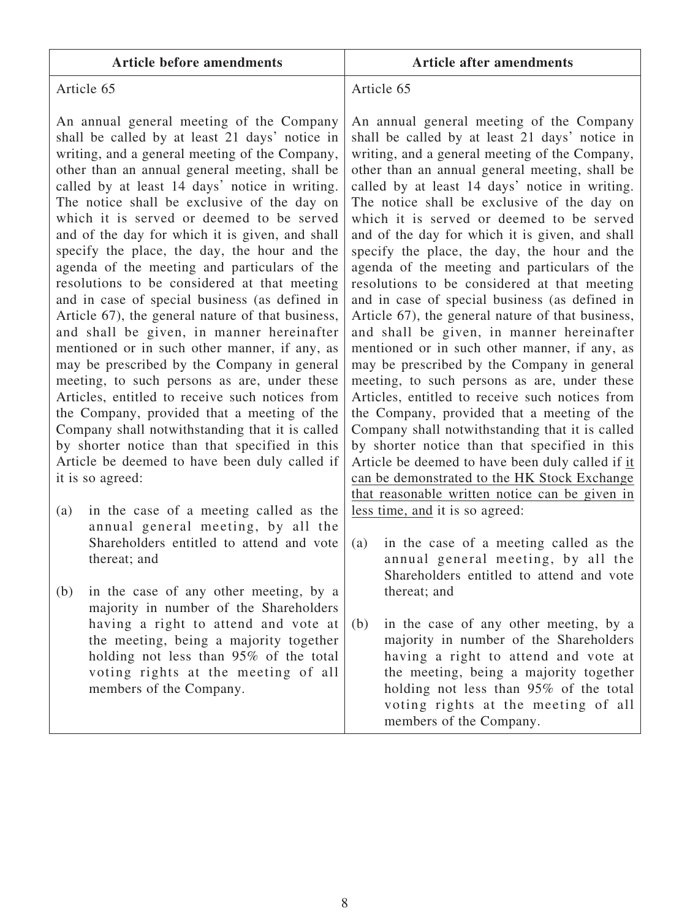|  |  | <b>Article before amendments</b> |
|--|--|----------------------------------|
|--|--|----------------------------------|

#### **Article before amendments Article after amendments**

## Article 65

An annual general meeting of the Company shall be called by at least 21 days' notice in writing, and a general meeting of the Company, other than an annual general meeting, shall be called by at least 14 days' notice in writing. The notice shall be exclusive of the day on which it is served or deemed to be served and of the day for which it is given, and shall specify the place, the day, the hour and the agenda of the meeting and particulars of the resolutions to be considered at that meeting and in case of special business (as defined in Article 67), the general nature of that business, and shall be given, in manner hereinafter mentioned or in such other manner, if any, as may be prescribed by the Company in general meeting, to such persons as are, under these Articles, entitled to receive such notices from the Company, provided that a meeting of the Company shall notwithstanding that it is called by shorter notice than that specified in this Article be deemed to have been duly called if it is so agreed:

- (a) in the case of a meeting called as the annual general meeting, by all the Shareholders entitled to attend and vote thereat; and
- (b) in the case of any other meeting, by a majority in number of the Shareholders having a right to attend and vote at the meeting, being a majority together holding not less than 95% of the total voting rights at the meeting of all members of the Company.

#### Article 65

An annual general meeting of the Company shall be called by at least 21 days' notice in writing, and a general meeting of the Company, other than an annual general meeting, shall be called by at least 14 days' notice in writing. The notice shall be exclusive of the day on which it is served or deemed to be served and of the day for which it is given, and shall specify the place, the day, the hour and the agenda of the meeting and particulars of the resolutions to be considered at that meeting and in case of special business (as defined in Article 67), the general nature of that business, and shall be given, in manner hereinafter mentioned or in such other manner, if any, as may be prescribed by the Company in general meeting, to such persons as are, under these Articles, entitled to receive such notices from the Company, provided that a meeting of the Company shall notwithstanding that it is called by shorter notice than that specified in this Article be deemed to have been duly called if it can be demonstrated to the HK Stock Exchange that reasonable written notice can be given in less time, and it is so agreed:

- (a) in the case of a meeting called as the annual general meeting, by all the Shareholders entitled to attend and vote thereat; and
- (b) in the case of any other meeting, by a majority in number of the Shareholders having a right to attend and vote at the meeting, being a majority together holding not less than 95% of the total voting rights at the meeting of all members of the Company.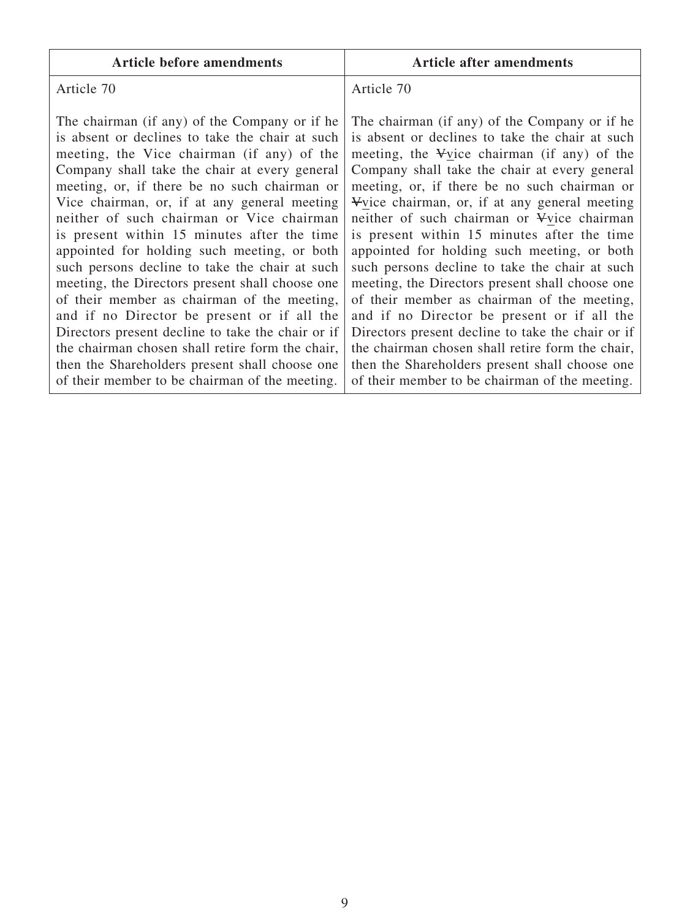| <b>Article before amendments</b>                                                                                                                                                                                                                                                                                                                                                                                                                                                                                                                                                                                                                                                                                                                                                                                                                           | <b>Article after amendments</b>                                                                                                                                                                                                                                                                                                                                                                                                                                                                                                                                                                                                                                                                                                                                                                                                                            |
|------------------------------------------------------------------------------------------------------------------------------------------------------------------------------------------------------------------------------------------------------------------------------------------------------------------------------------------------------------------------------------------------------------------------------------------------------------------------------------------------------------------------------------------------------------------------------------------------------------------------------------------------------------------------------------------------------------------------------------------------------------------------------------------------------------------------------------------------------------|------------------------------------------------------------------------------------------------------------------------------------------------------------------------------------------------------------------------------------------------------------------------------------------------------------------------------------------------------------------------------------------------------------------------------------------------------------------------------------------------------------------------------------------------------------------------------------------------------------------------------------------------------------------------------------------------------------------------------------------------------------------------------------------------------------------------------------------------------------|
| Article 70                                                                                                                                                                                                                                                                                                                                                                                                                                                                                                                                                                                                                                                                                                                                                                                                                                                 | Article 70                                                                                                                                                                                                                                                                                                                                                                                                                                                                                                                                                                                                                                                                                                                                                                                                                                                 |
| The chairman (if any) of the Company or if he<br>is absent or declines to take the chair at such<br>meeting, the Vice chairman (if any) of the<br>Company shall take the chair at every general<br>meeting, or, if there be no such chairman or<br>Vice chairman, or, if at any general meeting<br>neither of such chairman or Vice chairman<br>is present within 15 minutes after the time<br>appointed for holding such meeting, or both<br>such persons decline to take the chair at such<br>meeting, the Directors present shall choose one<br>of their member as chairman of the meeting,<br>and if no Director be present or if all the<br>Directors present decline to take the chair or if<br>the chairman chosen shall retire form the chair,<br>then the Shareholders present shall choose one<br>of their member to be chairman of the meeting. | The chairman (if any) of the Company or if he<br>is absent or declines to take the chair at such<br>meeting, the Vice chairman (if any) of the<br>Company shall take the chair at every general<br>meeting, or, if there be no such chairman or<br>Vice chairman, or, if at any general meeting<br>neither of such chairman or Vice chairman<br>is present within 15 minutes after the time<br>appointed for holding such meeting, or both<br>such persons decline to take the chair at such<br>meeting, the Directors present shall choose one<br>of their member as chairman of the meeting,<br>and if no Director be present or if all the<br>Directors present decline to take the chair or if<br>the chairman chosen shall retire form the chair,<br>then the Shareholders present shall choose one<br>of their member to be chairman of the meeting. |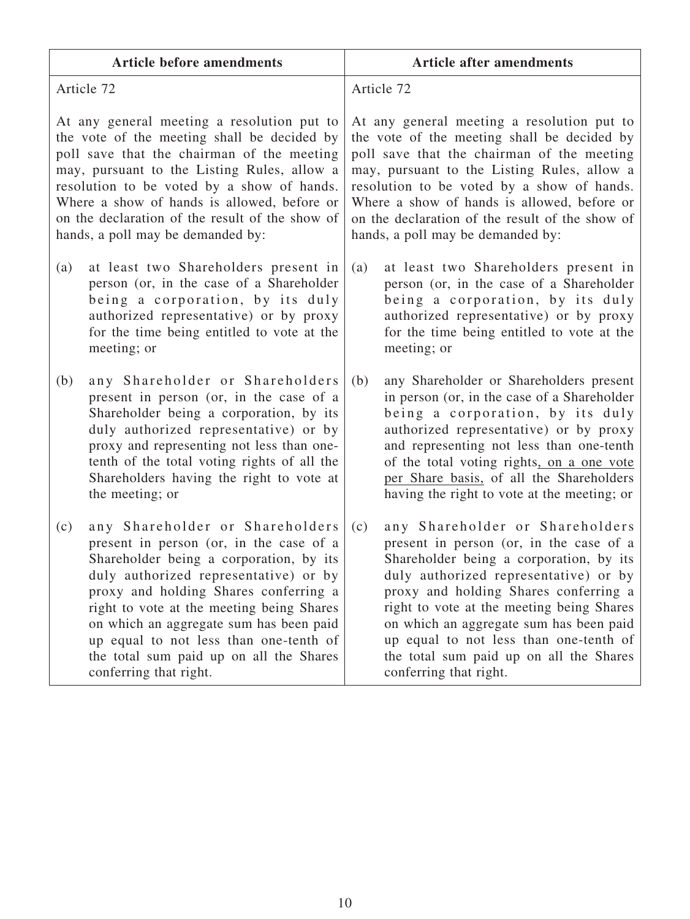| <b>Article before amendments</b>                | <b>Article after amendments</b>                 |
|-------------------------------------------------|-------------------------------------------------|
| Article 72                                      | Article 72                                      |
| At any general meeting a resolution put to      | At any general meeting a resolution put to      |
| the vote of the meeting shall be decided by     | the vote of the meeting shall be decided by     |
| poll save that the chairman of the meeting      | poll save that the chairman of the meeting      |
| may, pursuant to the Listing Rules, allow a     | may, pursuant to the Listing Rules, allow a     |
| resolution to be voted by a show of hands.      | resolution to be voted by a show of hands.      |
| Where a show of hands is allowed, before or     | Where a show of hands is allowed, before or     |
| on the declaration of the result of the show of | on the declaration of the result of the show of |
| hands, a poll may be demanded by:               | hands, a poll may be demanded by:               |
| at least two Shareholders present in            | at least two Shareholders present in            |
| (a)                                             | (a)                                             |
| person (or, in the case of a Shareholder        | person (or, in the case of a Shareholder        |
| being a corporation, by its duly                | being a corporation, by its duly                |
| authorized representative) or by proxy          | authorized representative) or by proxy          |
| for the time being entitled to vote at the      | for the time being entitled to vote at the      |
| meeting; or                                     | meeting; or                                     |
| (b)                                             | (b)                                             |
| any Shareholder or Shareholders                 | any Shareholder or Shareholders present         |
| present in person (or, in the case of a         | in person (or, in the case of a Shareholder     |
| Shareholder being a corporation, by its         | being a corporation, by its duly                |
| duly authorized representative) or by           | authorized representative) or by proxy          |
| proxy and representing not less than one-       | and representing not less than one-tenth        |
| tenth of the total voting rights of all the     | of the total voting rights, on a one vote       |
| Shareholders having the right to vote at        | per Share basis, of all the Shareholders        |
| the meeting; or                                 | having the right to vote at the meeting; or     |
| any Shareholder or Shareholders                 | any Shareholder or Shareholders                 |
| (c)                                             | (c)                                             |
| present in person (or, in the case of a         | present in person (or, in the case of a         |
| Shareholder being a corporation, by its         | Shareholder being a corporation, by its         |
| duly authorized representative) or by           | duly authorized representative) or by           |
| proxy and holding Shares conferring a           | proxy and holding Shares conferring a           |
| right to vote at the meeting being Shares       | right to vote at the meeting being Shares       |
| on which an aggregate sum has been paid         | on which an aggregate sum has been paid         |
| up equal to not less than one-tenth of          | up equal to not less than one-tenth of          |
| the total sum paid up on all the Shares         | the total sum paid up on all the Shares         |
| conferring that right.                          | conferring that right.                          |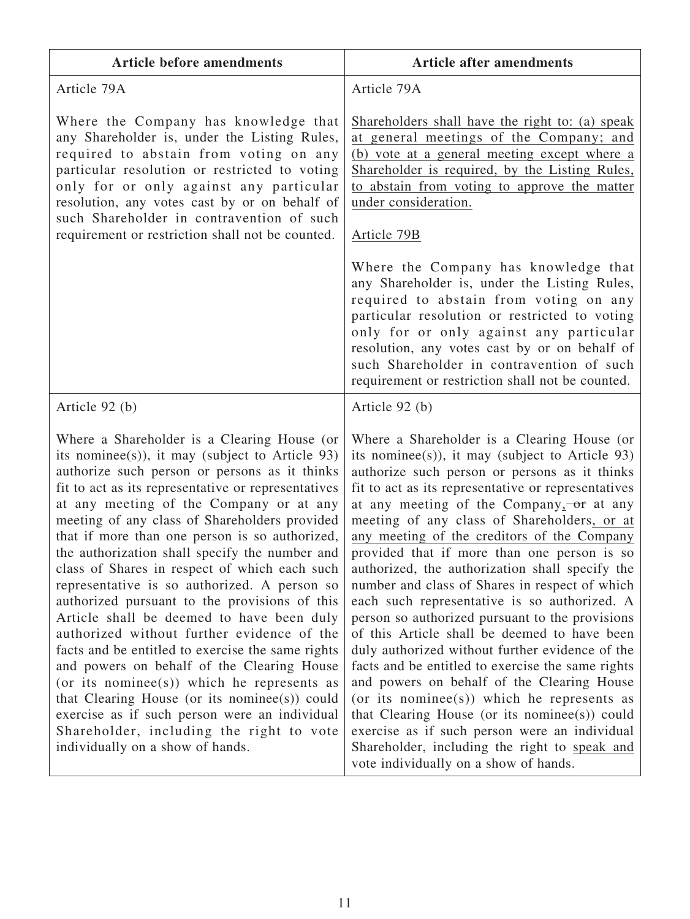| <b>Article before amendments</b>                                                                                                                                                                                                                                                                                                                                                                                                                                                                                                                                                                                                                                                                                                                                                                                                                                                                                                                                                       | <b>Article after amendments</b>                                                                                                                                                                                                                                                                                                                                                                                                                                                                                                                                                                                                                                                                                                                                                                                                                                                                                                                                                                                |
|----------------------------------------------------------------------------------------------------------------------------------------------------------------------------------------------------------------------------------------------------------------------------------------------------------------------------------------------------------------------------------------------------------------------------------------------------------------------------------------------------------------------------------------------------------------------------------------------------------------------------------------------------------------------------------------------------------------------------------------------------------------------------------------------------------------------------------------------------------------------------------------------------------------------------------------------------------------------------------------|----------------------------------------------------------------------------------------------------------------------------------------------------------------------------------------------------------------------------------------------------------------------------------------------------------------------------------------------------------------------------------------------------------------------------------------------------------------------------------------------------------------------------------------------------------------------------------------------------------------------------------------------------------------------------------------------------------------------------------------------------------------------------------------------------------------------------------------------------------------------------------------------------------------------------------------------------------------------------------------------------------------|
| Article 79A                                                                                                                                                                                                                                                                                                                                                                                                                                                                                                                                                                                                                                                                                                                                                                                                                                                                                                                                                                            | Article 79A                                                                                                                                                                                                                                                                                                                                                                                                                                                                                                                                                                                                                                                                                                                                                                                                                                                                                                                                                                                                    |
| Where the Company has knowledge that<br>any Shareholder is, under the Listing Rules,<br>required to abstain from voting on any<br>particular resolution or restricted to voting<br>only for or only against any particular<br>resolution, any votes cast by or on behalf of<br>such Shareholder in contravention of such<br>requirement or restriction shall not be counted.                                                                                                                                                                                                                                                                                                                                                                                                                                                                                                                                                                                                           | Shareholders shall have the right to: (a) speak<br>at general meetings of the Company; and<br>(b) vote at a general meeting except where a<br>Shareholder is required, by the Listing Rules,<br>to abstain from voting to approve the matter<br>under consideration.<br>Article 79B                                                                                                                                                                                                                                                                                                                                                                                                                                                                                                                                                                                                                                                                                                                            |
|                                                                                                                                                                                                                                                                                                                                                                                                                                                                                                                                                                                                                                                                                                                                                                                                                                                                                                                                                                                        | Where the Company has knowledge that<br>any Shareholder is, under the Listing Rules,<br>required to abstain from voting on any<br>particular resolution or restricted to voting<br>only for or only against any particular<br>resolution, any votes cast by or on behalf of<br>such Shareholder in contravention of such<br>requirement or restriction shall not be counted.                                                                                                                                                                                                                                                                                                                                                                                                                                                                                                                                                                                                                                   |
| Article 92 (b)                                                                                                                                                                                                                                                                                                                                                                                                                                                                                                                                                                                                                                                                                                                                                                                                                                                                                                                                                                         | Article 92 (b)                                                                                                                                                                                                                                                                                                                                                                                                                                                                                                                                                                                                                                                                                                                                                                                                                                                                                                                                                                                                 |
| Where a Shareholder is a Clearing House (or<br>its nomines(s)), it may (subject to Article 93)<br>authorize such person or persons as it thinks<br>fit to act as its representative or representatives<br>at any meeting of the Company or at any<br>meeting of any class of Shareholders provided<br>that if more than one person is so authorized,<br>the authorization shall specify the number and<br>class of Shares in respect of which each such<br>representative is so authorized. A person so<br>authorized pursuant to the provisions of this<br>Article shall be deemed to have been duly<br>authorized without further evidence of the<br>facts and be entitled to exercise the same rights<br>and powers on behalf of the Clearing House<br>(or its nomines(s)) which he represents as<br>that Clearing House (or its nominee(s)) could<br>exercise as if such person were an individual<br>Shareholder, including the right to vote<br>individually on a show of hands. | Where a Shareholder is a Clearing House (or<br>its nominee(s)), it may (subject to Article 93)<br>authorize such person or persons as it thinks<br>fit to act as its representative or representatives<br>at any meeting of the Company, or at any<br>meeting of any class of Shareholders, or at<br>any meeting of the creditors of the Company<br>provided that if more than one person is so<br>authorized, the authorization shall specify the<br>number and class of Shares in respect of which<br>each such representative is so authorized. A<br>person so authorized pursuant to the provisions<br>of this Article shall be deemed to have been<br>duly authorized without further evidence of the<br>facts and be entitled to exercise the same rights<br>and powers on behalf of the Clearing House<br>(or its nomines(s)) which he represents as<br>that Clearing House (or its nominee(s)) could<br>exercise as if such person were an individual<br>Shareholder, including the right to speak and |

ı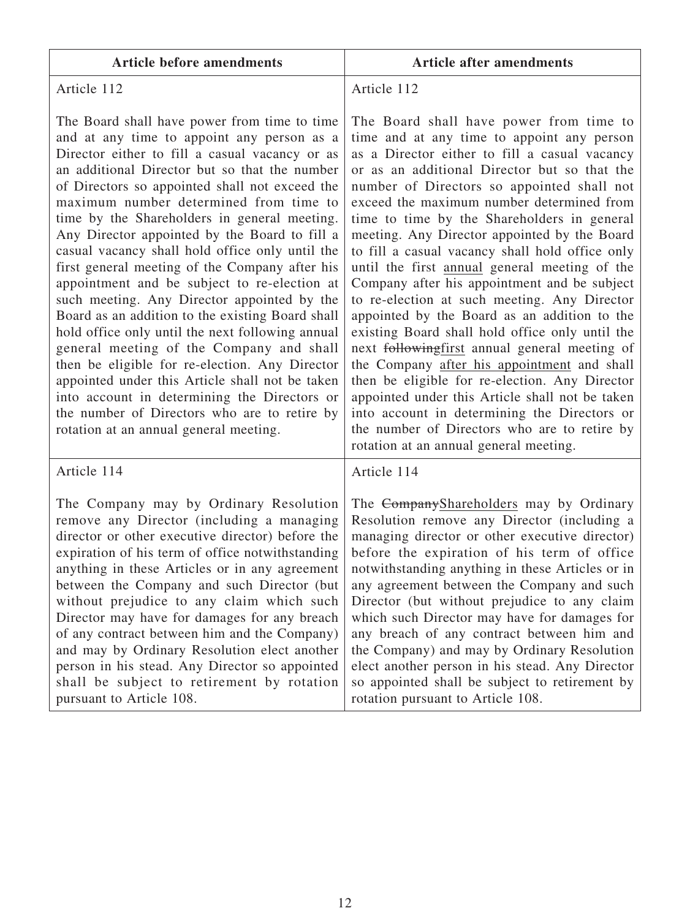| <b>Article before amendments</b>                                                                                                                                                                                                                                                                                                                                                                                                                                                                                                                                                                                                                                                                                                                                                                                                                                                                                                                                                                  | <b>Article after amendments</b>                                                                                                                                                                                                                                                                                                                                                                                                                                                                                                                                                                                                                                                                                                                                                                                                                                                                                                                                                                                                        |
|---------------------------------------------------------------------------------------------------------------------------------------------------------------------------------------------------------------------------------------------------------------------------------------------------------------------------------------------------------------------------------------------------------------------------------------------------------------------------------------------------------------------------------------------------------------------------------------------------------------------------------------------------------------------------------------------------------------------------------------------------------------------------------------------------------------------------------------------------------------------------------------------------------------------------------------------------------------------------------------------------|----------------------------------------------------------------------------------------------------------------------------------------------------------------------------------------------------------------------------------------------------------------------------------------------------------------------------------------------------------------------------------------------------------------------------------------------------------------------------------------------------------------------------------------------------------------------------------------------------------------------------------------------------------------------------------------------------------------------------------------------------------------------------------------------------------------------------------------------------------------------------------------------------------------------------------------------------------------------------------------------------------------------------------------|
| Article 112                                                                                                                                                                                                                                                                                                                                                                                                                                                                                                                                                                                                                                                                                                                                                                                                                                                                                                                                                                                       | Article 112                                                                                                                                                                                                                                                                                                                                                                                                                                                                                                                                                                                                                                                                                                                                                                                                                                                                                                                                                                                                                            |
| The Board shall have power from time to time<br>and at any time to appoint any person as a<br>Director either to fill a casual vacancy or as<br>an additional Director but so that the number<br>of Directors so appointed shall not exceed the<br>maximum number determined from time to<br>time by the Shareholders in general meeting.<br>Any Director appointed by the Board to fill a<br>casual vacancy shall hold office only until the<br>first general meeting of the Company after his<br>appointment and be subject to re-election at<br>such meeting. Any Director appointed by the<br>Board as an addition to the existing Board shall<br>hold office only until the next following annual<br>general meeting of the Company and shall<br>then be eligible for re-election. Any Director<br>appointed under this Article shall not be taken<br>into account in determining the Directors or<br>the number of Directors who are to retire by<br>rotation at an annual general meeting. | The Board shall have power from time to<br>time and at any time to appoint any person<br>as a Director either to fill a casual vacancy<br>or as an additional Director but so that the<br>number of Directors so appointed shall not<br>exceed the maximum number determined from<br>time to time by the Shareholders in general<br>meeting. Any Director appointed by the Board<br>to fill a casual vacancy shall hold office only<br>until the first annual general meeting of the<br>Company after his appointment and be subject<br>to re-election at such meeting. Any Director<br>appointed by the Board as an addition to the<br>existing Board shall hold office only until the<br>next followingfirst annual general meeting of<br>the Company after his appointment and shall<br>then be eligible for re-election. Any Director<br>appointed under this Article shall not be taken<br>into account in determining the Directors or<br>the number of Directors who are to retire by<br>rotation at an annual general meeting. |
| Article 114                                                                                                                                                                                                                                                                                                                                                                                                                                                                                                                                                                                                                                                                                                                                                                                                                                                                                                                                                                                       | Article 114                                                                                                                                                                                                                                                                                                                                                                                                                                                                                                                                                                                                                                                                                                                                                                                                                                                                                                                                                                                                                            |
| The Company may by Ordinary Resolution<br>remove any Director (including a managing<br>director or other executive director) before the<br>expiration of his term of office notwithstanding<br>anything in these Articles or in any agreement<br>between the Company and such Director (but<br>without prejudice to any claim which such<br>Director may have for damages for any breach<br>of any contract between him and the Company)<br>and may by Ordinary Resolution elect another<br>person in his stead. Any Director so appointed<br>shall be subject to retirement by rotation<br>pursuant to Article 108.                                                                                                                                                                                                                                                                                                                                                                              | The CompanyShareholders may by Ordinary<br>Resolution remove any Director (including a<br>managing director or other executive director)<br>before the expiration of his term of office<br>notwithstanding anything in these Articles or in<br>any agreement between the Company and such<br>Director (but without prejudice to any claim<br>which such Director may have for damages for<br>any breach of any contract between him and<br>the Company) and may by Ordinary Resolution<br>elect another person in his stead. Any Director<br>so appointed shall be subject to retirement by<br>rotation pursuant to Article 108.                                                                                                                                                                                                                                                                                                                                                                                                       |

٦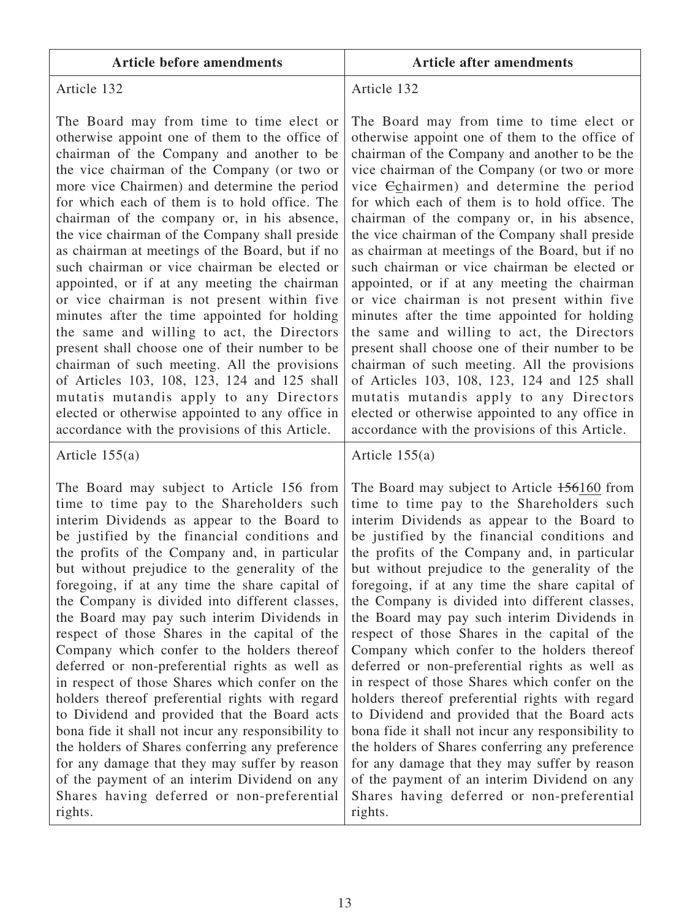| <b>Article before amendments</b> |  |
|----------------------------------|--|
|----------------------------------|--|

#### **Article before amendments Article after amendments**

## Article 132

The Board may from time to time elect or otherwise appoint one of them to the office of chairman of the Company and another to be the vice chairman of the Company (or two or more vice Chairmen) and determine the period for which each of them is to hold office. The chairman of the company or, in his absence, the vice chairman of the Company shall preside as chairman at meetings of the Board, but if no such chairman or vice chairman be elected or appointed, or if at any meeting the chairman or vice chairman is not present within five minutes after the time appointed for holding the same and willing to act, the Directors present shall choose one of their number to be chairman of such meeting. All the provisions of Articles 103, 108, 123, 124 and 125 shall mutatis mutandis apply to any Directors elected or otherwise appointed to any office in accordance with the provisions of this Article.

#### Article 155(a)

The Board may subject to Article 156 from time to time pay to the Shareholders such interim Dividends as appear to the Board to be justified by the financial conditions and the profits of the Company and, in particular but without prejudice to the generality of the foregoing, if at any time the share capital of the Company is divided into different classes, the Board may pay such interim Dividends in respect of those Shares in the capital of the Company which confer to the holders thereof deferred or non-preferential rights as well as in respect of those Shares which confer on the holders thereof preferential rights with regard to Dividend and provided that the Board acts bona fide it shall not incur any responsibility to the holders of Shares conferring any preference for any damage that they may suffer by reason of the payment of an interim Dividend on any Shares having deferred or non-preferential rights.

## Article 132

The Board may from time to time elect or otherwise appoint one of them to the office of chairman of the Company and another to be the vice chairman of the Company (or two or more vice Cchairmen) and determine the period for which each of them is to hold office. The chairman of the company or, in his absence, the vice chairman of the Company shall preside as chairman at meetings of the Board, but if no such chairman or vice chairman be elected or appointed, or if at any meeting the chairman or vice chairman is not present within five minutes after the time appointed for holding the same and willing to act, the Directors present shall choose one of their number to be chairman of such meeting. All the provisions of Articles 103, 108, 123, 124 and 125 shall mutatis mutandis apply to any Directors elected or otherwise appointed to any office in accordance with the provisions of this Article.

#### Article 155(a)

The Board may subject to Article 156160 from time to time pay to the Shareholders such interim Dividends as appear to the Board to be justified by the financial conditions and the profits of the Company and, in particular but without prejudice to the generality of the foregoing, if at any time the share capital of the Company is divided into different classes, the Board may pay such interim Dividends in respect of those Shares in the capital of the Company which confer to the holders thereof deferred or non-preferential rights as well as in respect of those Shares which confer on the holders thereof preferential rights with regard to Dividend and provided that the Board acts bona fide it shall not incur any responsibility to the holders of Shares conferring any preference for any damage that they may suffer by reason of the payment of an interim Dividend on any Shares having deferred or non-preferential rights.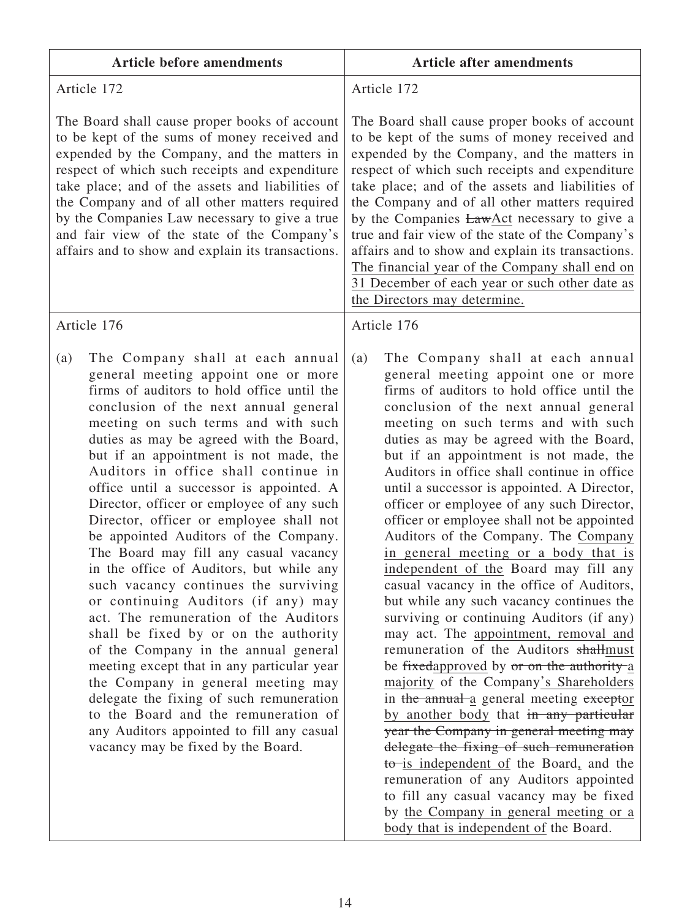| <b>Article before amendments</b>                                                                                                                                                                                                                                                                                                                                                                                                                                                                                                                                                                                                                                                                                                                                                                                                                                                                                                                                                                                                                                                | <b>Article after amendments</b>                                                                                                                                                                                                                                                                                                                                                                                                                                                                                                                                                                                                                                                                                                                                                                                                                                                                                                                                                                                                                                                                                                                                                                                                                                                            |
|---------------------------------------------------------------------------------------------------------------------------------------------------------------------------------------------------------------------------------------------------------------------------------------------------------------------------------------------------------------------------------------------------------------------------------------------------------------------------------------------------------------------------------------------------------------------------------------------------------------------------------------------------------------------------------------------------------------------------------------------------------------------------------------------------------------------------------------------------------------------------------------------------------------------------------------------------------------------------------------------------------------------------------------------------------------------------------|--------------------------------------------------------------------------------------------------------------------------------------------------------------------------------------------------------------------------------------------------------------------------------------------------------------------------------------------------------------------------------------------------------------------------------------------------------------------------------------------------------------------------------------------------------------------------------------------------------------------------------------------------------------------------------------------------------------------------------------------------------------------------------------------------------------------------------------------------------------------------------------------------------------------------------------------------------------------------------------------------------------------------------------------------------------------------------------------------------------------------------------------------------------------------------------------------------------------------------------------------------------------------------------------|
| Article 172                                                                                                                                                                                                                                                                                                                                                                                                                                                                                                                                                                                                                                                                                                                                                                                                                                                                                                                                                                                                                                                                     | Article 172                                                                                                                                                                                                                                                                                                                                                                                                                                                                                                                                                                                                                                                                                                                                                                                                                                                                                                                                                                                                                                                                                                                                                                                                                                                                                |
| The Board shall cause proper books of account<br>to be kept of the sums of money received and<br>expended by the Company, and the matters in<br>respect of which such receipts and expenditure<br>take place; and of the assets and liabilities of<br>the Company and of all other matters required<br>by the Companies Law necessary to give a true<br>and fair view of the state of the Company's<br>affairs and to show and explain its transactions.                                                                                                                                                                                                                                                                                                                                                                                                                                                                                                                                                                                                                        | The Board shall cause proper books of account<br>to be kept of the sums of money received and<br>expended by the Company, and the matters in<br>respect of which such receipts and expenditure<br>take place; and of the assets and liabilities of<br>the Company and of all other matters required<br>by the Companies <b>LawAct</b> necessary to give a<br>true and fair view of the state of the Company's<br>affairs and to show and explain its transactions.<br>The financial year of the Company shall end on<br>31 December of each year or such other date as<br>the Directors may determine.                                                                                                                                                                                                                                                                                                                                                                                                                                                                                                                                                                                                                                                                                     |
| Article 176                                                                                                                                                                                                                                                                                                                                                                                                                                                                                                                                                                                                                                                                                                                                                                                                                                                                                                                                                                                                                                                                     | Article 176                                                                                                                                                                                                                                                                                                                                                                                                                                                                                                                                                                                                                                                                                                                                                                                                                                                                                                                                                                                                                                                                                                                                                                                                                                                                                |
| The Company shall at each annual<br>(a)<br>general meeting appoint one or more<br>firms of auditors to hold office until the<br>conclusion of the next annual general<br>meeting on such terms and with such<br>duties as may be agreed with the Board,<br>but if an appointment is not made, the<br>Auditors in office shall continue in<br>office until a successor is appointed. A<br>Director, officer or employee of any such<br>Director, officer or employee shall not<br>be appointed Auditors of the Company.<br>The Board may fill any casual vacancy<br>in the office of Auditors, but while any<br>such vacancy continues the surviving<br>or continuing Auditors (if any) may<br>act. The remuneration of the Auditors<br>shall be fixed by or on the authority<br>of the Company in the annual general<br>meeting except that in any particular year<br>the Company in general meeting may<br>delegate the fixing of such remuneration<br>to the Board and the remuneration of<br>any Auditors appointed to fill any casual<br>vacancy may be fixed by the Board. | The Company shall at each annual<br>(a)<br>general meeting appoint one or more<br>firms of auditors to hold office until the<br>conclusion of the next annual general<br>meeting on such terms and with such<br>duties as may be agreed with the Board,<br>but if an appointment is not made, the<br>Auditors in office shall continue in office<br>until a successor is appointed. A Director,<br>officer or employee of any such Director,<br>officer or employee shall not be appointed<br>Auditors of the Company. The Company<br>in general meeting or a body that is<br>independent of the Board may fill any<br>casual vacancy in the office of Auditors,<br>but while any such vacancy continues the<br>surviving or continuing Auditors (if any)<br>may act. The appointment, removal and<br>remuneration of the Auditors shallmust<br>be fixedapproved by or on the authority a<br>majority of the Company's Shareholders<br>in the annual a general meeting exceptor<br>by another body that in any particular<br>year the Company in general meeting may<br>delegate the fixing of such remuneration<br>to is independent of the Board, and the<br>remuneration of any Auditors appointed<br>to fill any casual vacancy may be fixed<br>by the Company in general meeting or a |